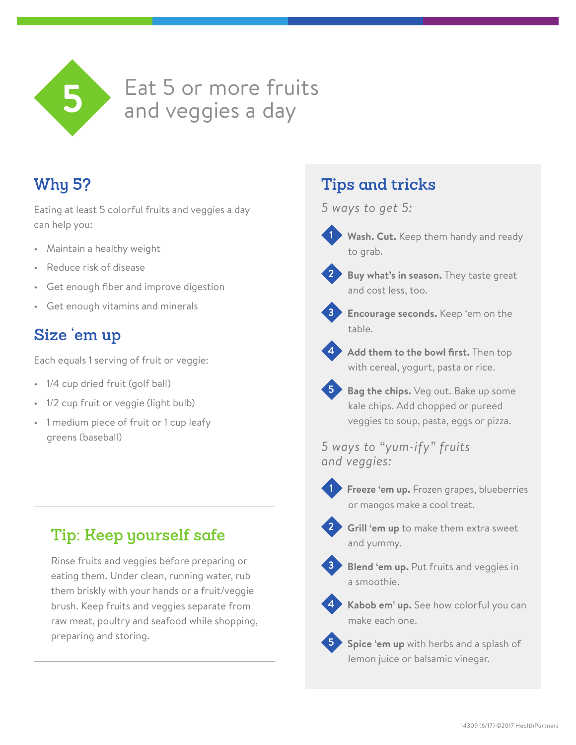

## Eat 5 or more fruits and veggies a day

## **Why 5?**

Eating at least 5 colorful fruits and veggies a day can help you:

- Maintain a healthy weight
- Reduce risk of disease
- Get enough fiber and improve digestion
- Get enough vitamins and minerals

## **Size 'em up**

Each equals 1 serving of fruit or veggie:

- 1/4 cup dried fruit (golf ball)
- 1/2 cup fruit or veggie (light bulb)
- 1 medium piece of fruit or 1 cup leafy greens (baseball)

## **Tip: Keep yourself safe**

Rinse fruits and veggies before preparing or eating them. Under clean, running water, rub them briskly with your hands or a fruit/veggie brush. Keep fruits and veggies separate from raw meat, poultry and seafood while shopping, preparing and storing.

## **Tips and tricks**

*5 ways to get 5:*



**1 Wash. Cut.** Keep them handy and ready to grab.



**2 Buy what's in season.** They taste great and cost less, too.



**3 Encourage seconds.** Keep 'em on the table.



**4 Add them to the bowl first.** Then top with cereal, yogurt, pasta or rice.

**5 Bag the chips.** Veg out. Bake up some kale chips. Add chopped or pureed veggies to soup, pasta, eggs or pizza.

*5 ways to "yum-ify" fruits and veggies:*



**1 Freeze 'em up.** Frozen grapes, blueberries or mangos make a cool treat.



**2 Grill 'em up** to make them extra sweet and yummy.



**Blend 'em up.** Put fruits and veggies in a smoothie.



**4 Kabob em' up.** See how colorful you can make each one.

**5 Spice 'em up** with herbs and a splash of lemon juice or balsamic vinegar.